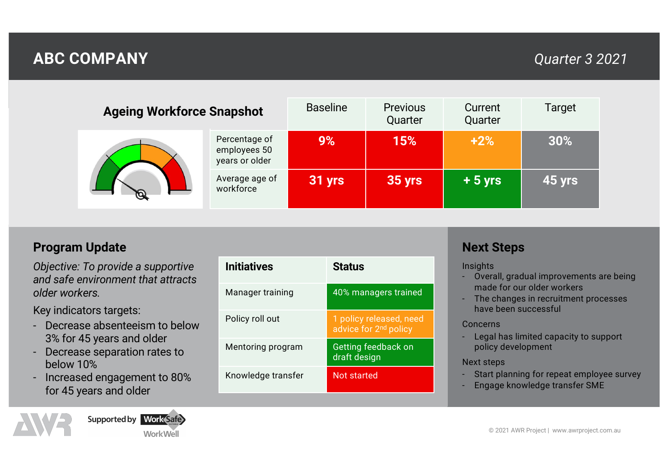# **ABC COMPANY** *Quarter 3 2021*

| <b>Ageing Workforce Snapshot</b> |                                                 | <b>Baseline</b> | <b>Previous</b><br>Quarter | Current<br>Quarter | Target |
|----------------------------------|-------------------------------------------------|-----------------|----------------------------|--------------------|--------|
|                                  | Percentage of<br>employees 50<br>years or older | 9%              | 15%                        | $+2%$              | 30%    |
|                                  | Average age of<br>workforce                     | 31 yrs          | 35 yrs                     | $+5$ yrs           | 45 yrs |

### **Program Update**

*Objective: To provide a supportive and safe environment that attracts older workers.*

Key indicators targets:

- Decrease absenteeism to below 3% for 45 years and older
- Decrease separation rates to below 10%
- Increased engagement to 80% for 45 years and older

Supported by Work Safe WorkWell

| <b>Initiatives</b> | <b>Status</b>                                                |
|--------------------|--------------------------------------------------------------|
| Manager training   | 40% managers trained                                         |
| Policy roll out    | 1 policy released, need<br>advice for 2 <sup>nd</sup> policy |
| Mentoring program  | Getting feedback on<br>draft design                          |
| Knowledge transfer | Not started                                                  |

## **Next Steps**

**Insights** 

- Overall, gradual improvements are being made for our older workers
- The changes in recruitment processes have been successful

### Concerns

- Legal has limited capacity to support policy development

### Next steps

- Start planning for repeat employee survey
- Engage knowledge transfer SME